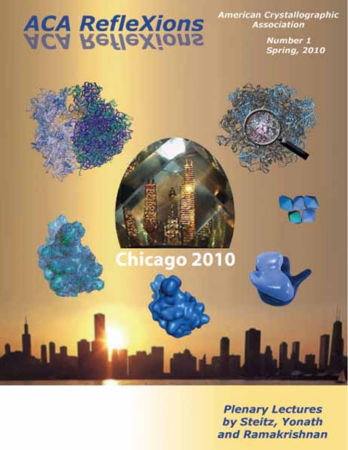# **ACA RefleXions**

Chicago 2010

American Crystallographic **Association** 

> Number 1 **Spring, 2010**

**Plenary Lectures** by Steitz, Yonath and Ramakrishnan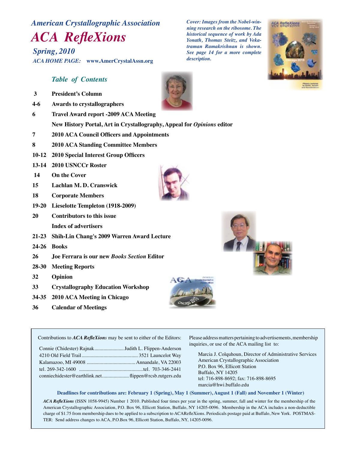# *American Crystallographic Association*

## *ACA RefleXions*

*Spring, 2010 ACA HOME PAGE:* **www.AmerCrystalAssn.org**

## *Table of Contents*

- **3 President's Column**
- **4-6 Awards to crystallographers**
- **6 Travel Award report -2009 ACA Meeting**

**New History Portal, Art in Crystallography, Appeal for** *Opinions* **editor** 

- **7 2010 ACA Council Officers and Appointments**
- **8 2010 ACA Standing Committee Members**
- **10-12 2010 Special Interest Group Officers**
- **13-14 2010 USNCCr Roster**
- **14 On the Cover**
- **15 Lachlan M. D. Cranswick**
- **18 Corporate Members**
- **19-20 Lieselotte Templeton (1918-2009)**
- **20 Contributors to this issue Index of advertisers**
- **21-23 Shih-Lin Chang's 2009 Warren Award Lecture**
- **24-26 Books**
- **26 Joe Ferrara is our new** *Books Section* **Editor**
- **28-30 Meeting Reports**
- **32 Opinion**
- **33 Crystallography Education Workshop**
- **34-35 2010 ACA Meeting in Chicago**
- **36 Calendar of Meetings**







Contributions to *ACA RefleXions* may be sent to either of the Editors:

| Connie (Chidester) RajnakJudith L. Flippen-Anderson    |  |
|--------------------------------------------------------|--|
|                                                        |  |
|                                                        |  |
|                                                        |  |
| conniechidester@earthlink.net flippen@rcsb.rutgers.edu |  |
|                                                        |  |

Please address matters pertaining to advertisements, membership inquiries, or use of the ACA mailing list to:

 Marcia J. Colquhoun, Director of Administrative Services American Crystallographic Association P.O. Box 96, Ellicott Station Buffalo, NY 14205 tel: 716-898-8692; fax: 716-898-8695 marcia@hwi.buffalo.edu

#### **Deadlines for contributions are: February 1 (Spring), May 1 (Summer), August 1 (Fall) and November 1 (Winter)**

*ACA RefleXions* (ISSN 1058-9945) Number 1 2010. Published four times per year in the spring, summer, fall and winter for the membership of the American Crystallographic Association, P.O. Box 96, Ellicott Station, Buffalo, NY 14205-0096. Membership in the ACA includes a non-deductible charge of \$1.75 from membership dues to be applied to a subscription to ACARefleXions. Periodicals postage paid at Buffalo, New York. POSTMAS-TER: Send address changes to ACA, P.O.Box 96, Ellicott Station, Buffalo, NY, 14205-0096.

*Cover: Images from the Nobel-winning research on the ribosome. The historical sequence of work by Ada Yonath, Thomas Steitz, and Vekatraman Ramakrishnan is shown. See page 14 for a more complete description.*



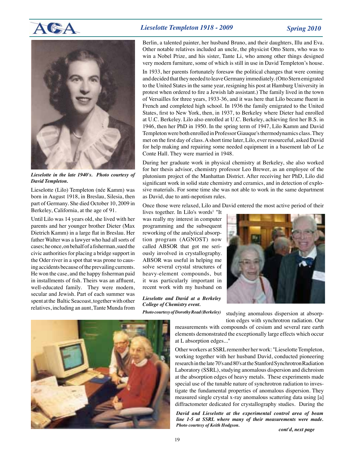

#### *Lieselotte Templeton 1918 - 2009 Spring 2010*



*Lieselotte in the late 1940's. Photo courtesy of David Templeton.*

Lieselotte (Lilo) Templeton (née Kamm) was born in August 1918, in Breslau, Silesia, then part of Germany. She died October 10, 2009 in Berkeley, California, at the age of 91.

Until Lilo was 14 years old, she lived with her parents and her younger brother Dieter (Max Dietrich Kamm) in a large flat in Breslau. Her father Walter was a lawyer who had all sorts of cases; he once, on behalf of a fisherman, sued the civic authorities for placing a bridge support in the Oder river in a spot that was prone to causing accidents because of the prevailing currents. He won the case, and the happy fisherman paid in installments of fish. Theirs was an affluent, well-educated family. They were modern, secular and Jewish. Part of each summer was spent at the Baltic Seacoast, together with other relatives, including an aunt, Tante Munda from Berlin, a talented painter, her husband Bruno, and their daughters, Illu and Eva. Other notable relatives included an uncle, the physicist Otto Stern, who was to win a Nobel Prize, and his sister, Tante Li, who among other things designed very modern furniture, some of which is still in use in David Templeton's house.

In 1933, her parents fortunately foresaw the political changes that were coming and decided that they needed to leave Germany immediately. (Otto Stern emigrated to the United States in the same year, resigning his post at Hamburg University in protest when ordered to fire a Jewish lab assistant.) The family lived in the town of Versailles for three years, 1933-36, and it was here that Lilo became fluent in French and completed high school. In 1936 the family emigrated to the United States, first to New York, then, in 1937, to Berkeley where Dieter had enrolled at U.C. Berkeley. Lilo also enrolled at U.C. Berkeley, achieving first her B.S. in 1946, then her PhD in 1950. In the spring term of 1947, Lilo Kamm and David Templeton were both enrolled in Professor Giauque's thermodynamics class. They met on the first day of class. A short time later, Lilo, ever resourceful, asked David for help making and repairing some needed equipment in a basement lab of Le Conte Hall. They were married in 1948.

During her graduate work in physical chemistry at Berkeley, she also worked for her thesis advisor, chemistry professor Leo Brewer, as an employee of the plutonium project of the Manhattan District. After receiving her PhD, Lilo did significant work in solid state chemistry and ceramics, and in detection of explosive materials. For some time she was not able to work in the same department as David, due to anti-nepotism rules.

Once those were relaxed, Lilo and David entered the most active period of their

lives together. In Lilo's words<sup>1</sup> "It was really my interest in computer programming and the subsequent reworking of the analytical absorption program (AGNOST) now called ABSOR that got me seriously involved in crystallography. ABSOR was useful in helping me solve several crystal structures of heavy-element compounds, but it was particularly important in recent work with my husband on

*Lieselotte and David at a Berkeley College of Chemistry event.* 

*Photo courtesy of Dorothy Read (Berkeley)*



studying anomalous dispersion at absorption edges with synchrotron radiation. Our



measurements with compounds of cesium and several rare earth elements demonstrated the exceptionally large effects which occur at L absorption edges..."

Other workers at SSRL remember her work: "Lieselotte Templeton, working together with her husband David, conducted pioneering research in the late 70's and 80's at the Stanford Synchrotron Radiation Laboratory (SSRL), studying anomalous dispersion and dichroism at the absorption edges of heavy metals. These experiments made special use of the tunable nature of synchrotron radiation to investigate the fundamental properties of anomalous dispersion. They measured single crystal x-ray anomalous scattering data using [a] diffractometer dedicated for crystallography studies. During the

*David and Lieselotte at the experimental control area of beam line 1-5 at SSRL where many of their measurements were made. Photo courtesy of Keith Hodgson.*